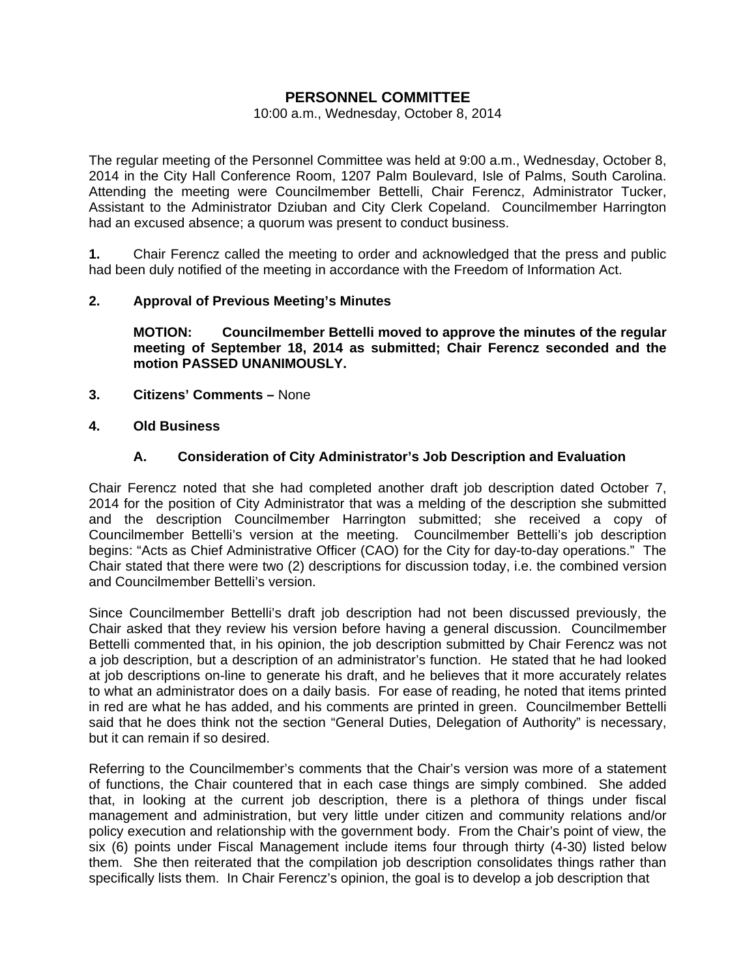# **PERSONNEL COMMITTEE**

#### 10:00 a.m., Wednesday, October 8, 2014

The regular meeting of the Personnel Committee was held at 9:00 a.m., Wednesday, October 8, 2014 in the City Hall Conference Room, 1207 Palm Boulevard, Isle of Palms, South Carolina. Attending the meeting were Councilmember Bettelli, Chair Ferencz, Administrator Tucker, Assistant to the Administrator Dziuban and City Clerk Copeland. Councilmember Harrington had an excused absence; a quorum was present to conduct business.

**1.** Chair Ferencz called the meeting to order and acknowledged that the press and public had been duly notified of the meeting in accordance with the Freedom of Information Act.

### **2. Approval of Previous Meeting's Minutes**

 **MOTION: Councilmember Bettelli moved to approve the minutes of the regular meeting of September 18, 2014 as submitted; Chair Ferencz seconded and the motion PASSED UNANIMOUSLY.** 

- **3. Citizens' Comments** None
- **4. Old Business**

### **A. Consideration of City Administrator's Job Description and Evaluation**

Chair Ferencz noted that she had completed another draft job description dated October 7, 2014 for the position of City Administrator that was a melding of the description she submitted and the description Councilmember Harrington submitted; she received a copy of Councilmember Bettelli's version at the meeting. Councilmember Bettelli's job description begins: "Acts as Chief Administrative Officer (CAO) for the City for day-to-day operations." The Chair stated that there were two (2) descriptions for discussion today, i.e. the combined version and Councilmember Bettelli's version.

Since Councilmember Bettelli's draft job description had not been discussed previously, the Chair asked that they review his version before having a general discussion. Councilmember Bettelli commented that, in his opinion, the job description submitted by Chair Ferencz was not a job description, but a description of an administrator's function. He stated that he had looked at job descriptions on-line to generate his draft, and he believes that it more accurately relates to what an administrator does on a daily basis. For ease of reading, he noted that items printed in red are what he has added, and his comments are printed in green. Councilmember Bettelli said that he does think not the section "General Duties, Delegation of Authority" is necessary, but it can remain if so desired.

Referring to the Councilmember's comments that the Chair's version was more of a statement of functions, the Chair countered that in each case things are simply combined. She added that, in looking at the current job description, there is a plethora of things under fiscal management and administration, but very little under citizen and community relations and/or policy execution and relationship with the government body. From the Chair's point of view, the six (6) points under Fiscal Management include items four through thirty (4-30) listed below them. She then reiterated that the compilation job description consolidates things rather than specifically lists them. In Chair Ferencz's opinion, the goal is to develop a job description that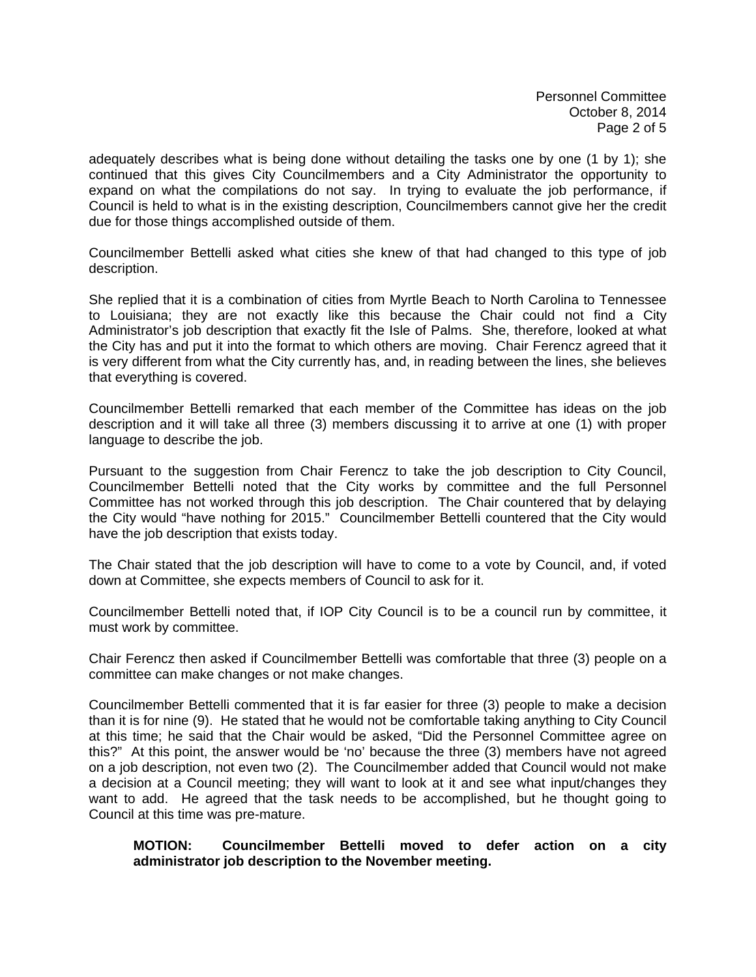Personnel Committee October 8, 2014 Page 2 of 5

adequately describes what is being done without detailing the tasks one by one (1 by 1); she continued that this gives City Councilmembers and a City Administrator the opportunity to expand on what the compilations do not say. In trying to evaluate the job performance, if Council is held to what is in the existing description, Councilmembers cannot give her the credit due for those things accomplished outside of them.

Councilmember Bettelli asked what cities she knew of that had changed to this type of job description.

She replied that it is a combination of cities from Myrtle Beach to North Carolina to Tennessee to Louisiana; they are not exactly like this because the Chair could not find a City Administrator's job description that exactly fit the Isle of Palms. She, therefore, looked at what the City has and put it into the format to which others are moving. Chair Ferencz agreed that it is very different from what the City currently has, and, in reading between the lines, she believes that everything is covered.

Councilmember Bettelli remarked that each member of the Committee has ideas on the job description and it will take all three (3) members discussing it to arrive at one (1) with proper language to describe the job.

Pursuant to the suggestion from Chair Ferencz to take the job description to City Council, Councilmember Bettelli noted that the City works by committee and the full Personnel Committee has not worked through this job description. The Chair countered that by delaying the City would "have nothing for 2015." Councilmember Bettelli countered that the City would have the job description that exists today.

The Chair stated that the job description will have to come to a vote by Council, and, if voted down at Committee, she expects members of Council to ask for it.

Councilmember Bettelli noted that, if IOP City Council is to be a council run by committee, it must work by committee.

Chair Ferencz then asked if Councilmember Bettelli was comfortable that three (3) people on a committee can make changes or not make changes.

Councilmember Bettelli commented that it is far easier for three (3) people to make a decision than it is for nine (9). He stated that he would not be comfortable taking anything to City Council at this time; he said that the Chair would be asked, "Did the Personnel Committee agree on this?" At this point, the answer would be 'no' because the three (3) members have not agreed on a job description, not even two (2). The Councilmember added that Council would not make a decision at a Council meeting; they will want to look at it and see what input/changes they want to add. He agreed that the task needs to be accomplished, but he thought going to Council at this time was pre-mature.

### **MOTION: Councilmember Bettelli moved to defer action on a city administrator job description to the November meeting.**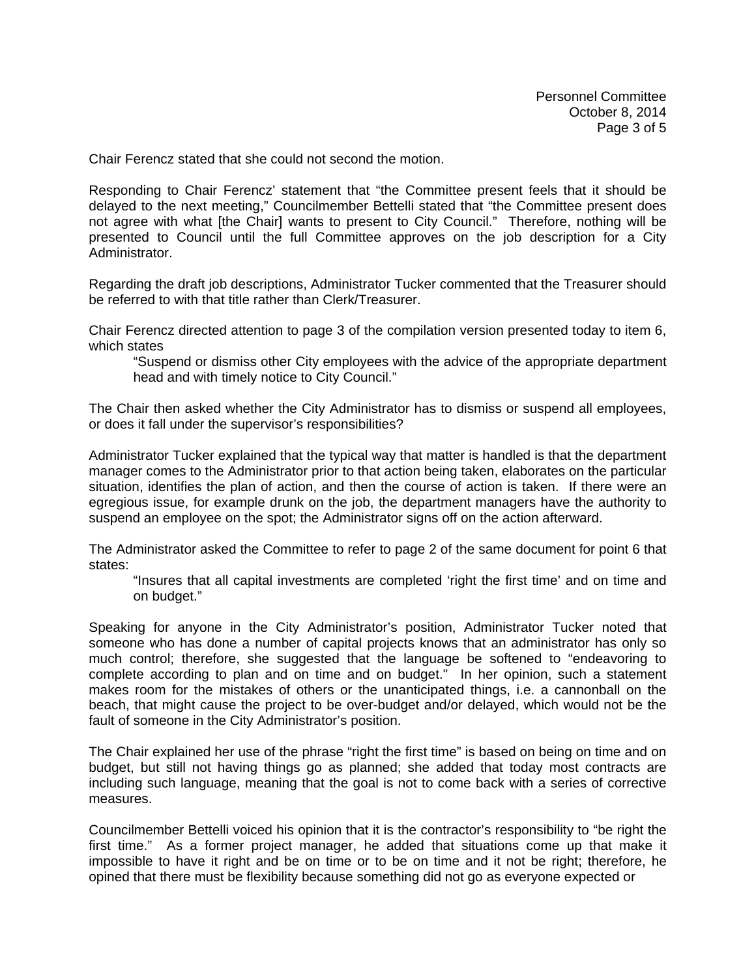Chair Ferencz stated that she could not second the motion.

Responding to Chair Ferencz' statement that "the Committee present feels that it should be delayed to the next meeting," Councilmember Bettelli stated that "the Committee present does not agree with what [the Chair] wants to present to City Council." Therefore, nothing will be presented to Council until the full Committee approves on the job description for a City Administrator.

Regarding the draft job descriptions, Administrator Tucker commented that the Treasurer should be referred to with that title rather than Clerk/Treasurer.

Chair Ferencz directed attention to page 3 of the compilation version presented today to item 6, which states

 "Suspend or dismiss other City employees with the advice of the appropriate department head and with timely notice to City Council."

The Chair then asked whether the City Administrator has to dismiss or suspend all employees, or does it fall under the supervisor's responsibilities?

Administrator Tucker explained that the typical way that matter is handled is that the department manager comes to the Administrator prior to that action being taken, elaborates on the particular situation, identifies the plan of action, and then the course of action is taken. If there were an egregious issue, for example drunk on the job, the department managers have the authority to suspend an employee on the spot; the Administrator signs off on the action afterward.

The Administrator asked the Committee to refer to page 2 of the same document for point 6 that states:

 "Insures that all capital investments are completed 'right the first time' and on time and on budget."

Speaking for anyone in the City Administrator's position, Administrator Tucker noted that someone who has done a number of capital projects knows that an administrator has only so much control; therefore, she suggested that the language be softened to "endeavoring to complete according to plan and on time and on budget." In her opinion, such a statement makes room for the mistakes of others or the unanticipated things, i.e. a cannonball on the beach, that might cause the project to be over-budget and/or delayed, which would not be the fault of someone in the City Administrator's position.

The Chair explained her use of the phrase "right the first time" is based on being on time and on budget, but still not having things go as planned; she added that today most contracts are including such language, meaning that the goal is not to come back with a series of corrective measures.

Councilmember Bettelli voiced his opinion that it is the contractor's responsibility to "be right the first time." As a former project manager, he added that situations come up that make it impossible to have it right and be on time or to be on time and it not be right; therefore, he opined that there must be flexibility because something did not go as everyone expected or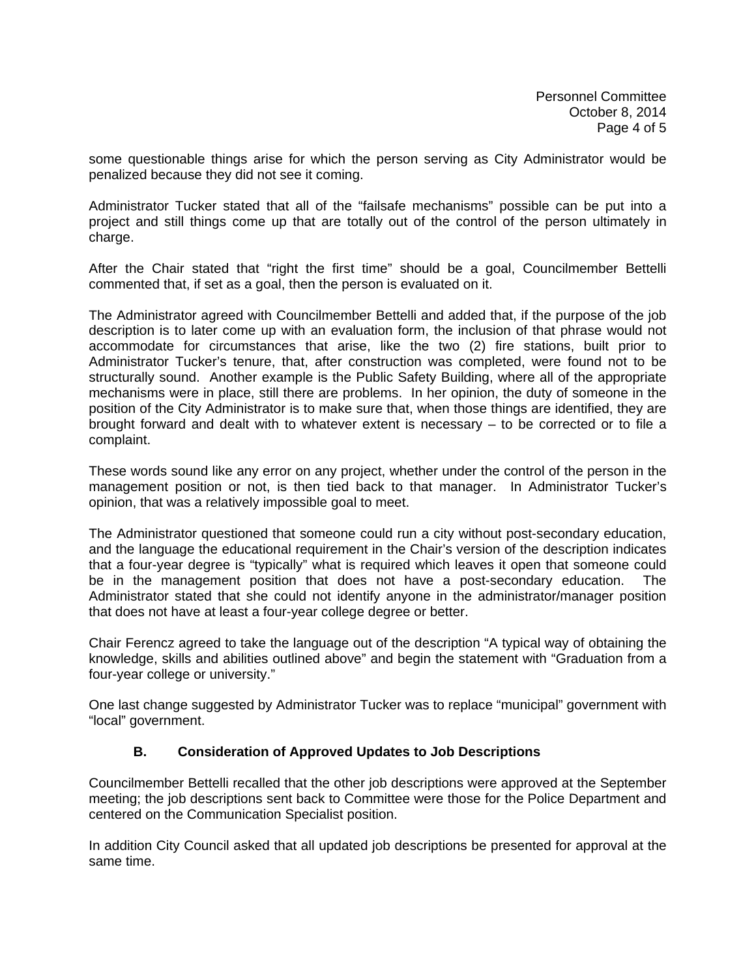some questionable things arise for which the person serving as City Administrator would be penalized because they did not see it coming.

Administrator Tucker stated that all of the "failsafe mechanisms" possible can be put into a project and still things come up that are totally out of the control of the person ultimately in charge.

After the Chair stated that "right the first time" should be a goal, Councilmember Bettelli commented that, if set as a goal, then the person is evaluated on it.

The Administrator agreed with Councilmember Bettelli and added that, if the purpose of the job description is to later come up with an evaluation form, the inclusion of that phrase would not accommodate for circumstances that arise, like the two (2) fire stations, built prior to Administrator Tucker's tenure, that, after construction was completed, were found not to be structurally sound. Another example is the Public Safety Building, where all of the appropriate mechanisms were in place, still there are problems. In her opinion, the duty of someone in the position of the City Administrator is to make sure that, when those things are identified, they are brought forward and dealt with to whatever extent is necessary – to be corrected or to file a complaint.

These words sound like any error on any project, whether under the control of the person in the management position or not, is then tied back to that manager. In Administrator Tucker's opinion, that was a relatively impossible goal to meet.

The Administrator questioned that someone could run a city without post-secondary education, and the language the educational requirement in the Chair's version of the description indicates that a four-year degree is "typically" what is required which leaves it open that someone could be in the management position that does not have a post-secondary education. The Administrator stated that she could not identify anyone in the administrator/manager position that does not have at least a four-year college degree or better.

Chair Ferencz agreed to take the language out of the description "A typical way of obtaining the knowledge, skills and abilities outlined above" and begin the statement with "Graduation from a four-year college or university."

One last change suggested by Administrator Tucker was to replace "municipal" government with "local" government.

## **B. Consideration of Approved Updates to Job Descriptions**

Councilmember Bettelli recalled that the other job descriptions were approved at the September meeting; the job descriptions sent back to Committee were those for the Police Department and centered on the Communication Specialist position.

In addition City Council asked that all updated job descriptions be presented for approval at the same time.